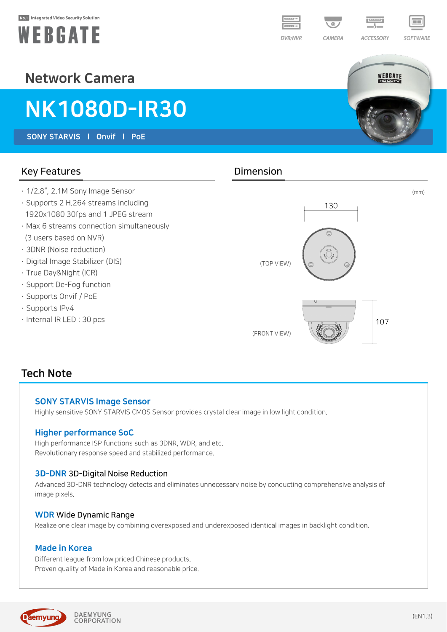#### No.1 Integrated Video Security Solution





SOFTWARE

WEBGATE

# Network Camera

# NK1080D-IR30

SONY STARVIS l Onvif l PoE

### Key Features **Dimension**

- · 1/2.8", 2.1M Sony Image Sensor
- · Supports 2 H.264 streams including 1920x1080 30fps and 1 JPEG stream
- · Max 6 streams connection simultaneously (3 users based on NVR)
- · 3DNR (Noise reduction)
- · Digital Image Stabilizer (DIS)
- · True Day&Night (ICR)
- · Support De-Fog function
- · Supports Onvif / PoE
- · Supports IPv4
- · Internal IR LED : 30 pcs



#### Tech Note

#### SONY STARVIS Image Sensor

Highly sensitive SONY STARVIS CMOS Sensor provides crystal clear image in low light condition.

#### Higher performance SoC

High performance ISP functions such as 3DNR, WDR, and etc. Revolutionary response speed and stabilized performance.

#### 3D-DNR 3D-Digital Noise Reduction

Advanced 3D-DNR technology detects and eliminates unnecessary noise by conducting comprehensive analysis of image pixels.

#### WDR Wide Dynamic Range

Realize one clear image by combining overexposed and underexposed identical images in backlight condition.

#### Made in Korea

Different league from low priced Chinese products. Proven quality of Made in Korea and reasonable price.